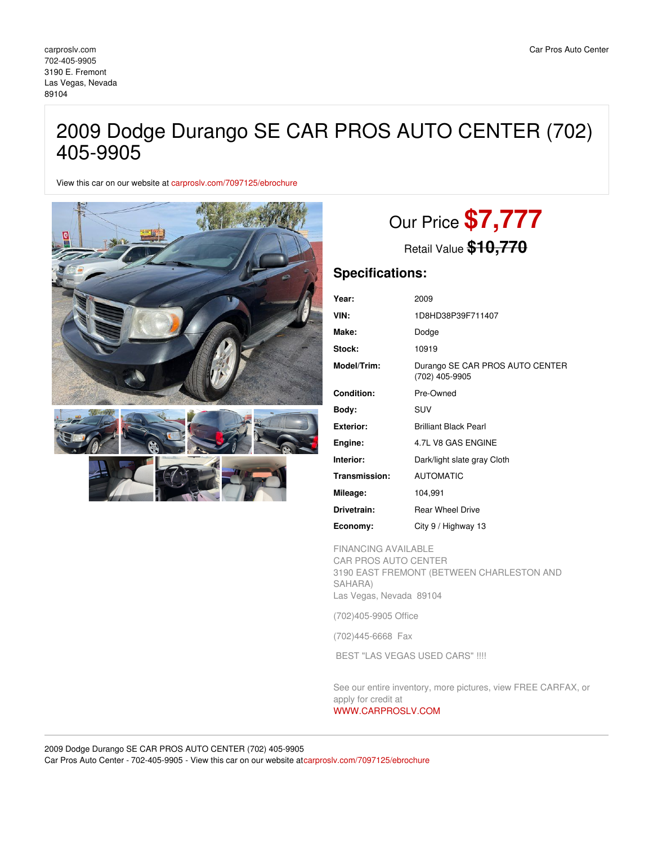## 2009 Dodge Durango SE CAR PROS AUTO CENTER (702) 405-9905

View this car on our website at [carproslv.com/7097125/ebrochure](https://carproslv.com/vehicle/7097125/2009-dodge-durango-se-car-pros-auto-center-702-405-9905-las-vegas-nevada-89104/7097125/ebrochure)



# Our Price **\$7,777**

Retail Value **\$10,770**

### **Specifications:**

| Year:             | 2009                                              |
|-------------------|---------------------------------------------------|
| VIN:              | 1D8HD38P39F711407                                 |
| Make:             | Dodge                                             |
| Stock:            | 10919                                             |
| Model/Trim:       | Durango SE CAR PROS AUTO CENTER<br>(702) 405-9905 |
| <b>Condition:</b> | Pre-Owned                                         |
| Body:             | SUV                                               |
| <b>Exterior:</b>  | <b>Brilliant Black Pearl</b>                      |
| Engine:           | 4.7L V8 GAS ENGINE                                |
| Interior:         | Dark/light slate gray Cloth                       |
| Transmission:     | <b>AUTOMATIC</b>                                  |
| Mileage:          | 104,991                                           |
| Drivetrain:       | <b>Rear Wheel Drive</b>                           |
| Economy:          | City 9 / Highway 13                               |

FINANCING AVAILABLE

CAR PROS AUTO CENTER 3190 EAST FREMONT (BETWEEN CHARLESTON AND SAHARA) Las Vegas, Nevada 89104

(702)405-9905 Office

(702)445-6668 Fax

BEST "LAS VEGAS USED CARS" !!!!

See our entire inventory, more pictures, view FREE CARFAX, or apply for credit at [WWW.CARPROSLV.COM](http://www.carproslv.com)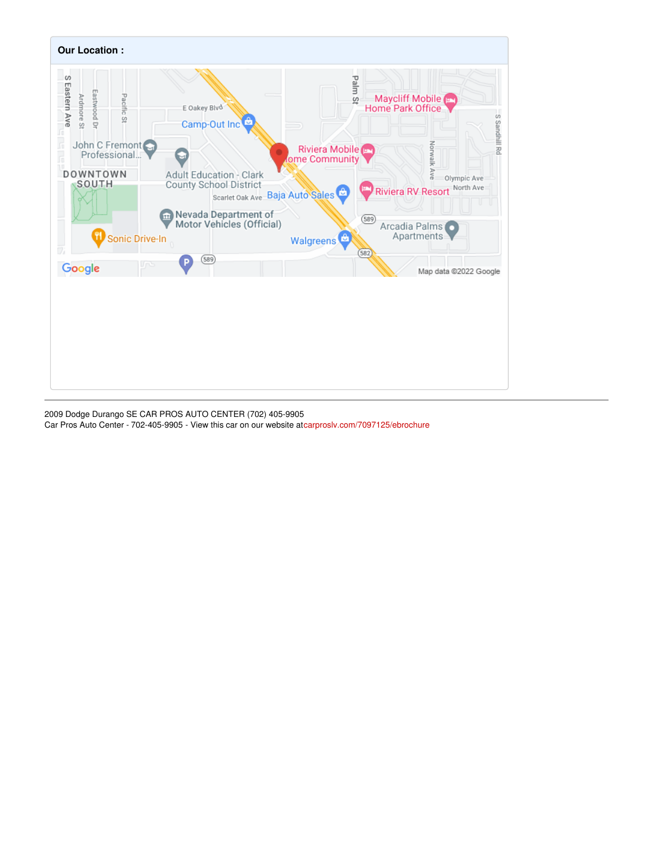

2009 Dodge Durango SE CAR PROS AUTO CENTER (702) 405-9905 Car Pros Auto Center - 702-405-9905 - View this car on our website a[tcarproslv.com/7097125/ebrochure](https://carproslv.com/vehicle/7097125/2009-dodge-durango-se-car-pros-auto-center-702-405-9905-las-vegas-nevada-89104/7097125/ebrochure)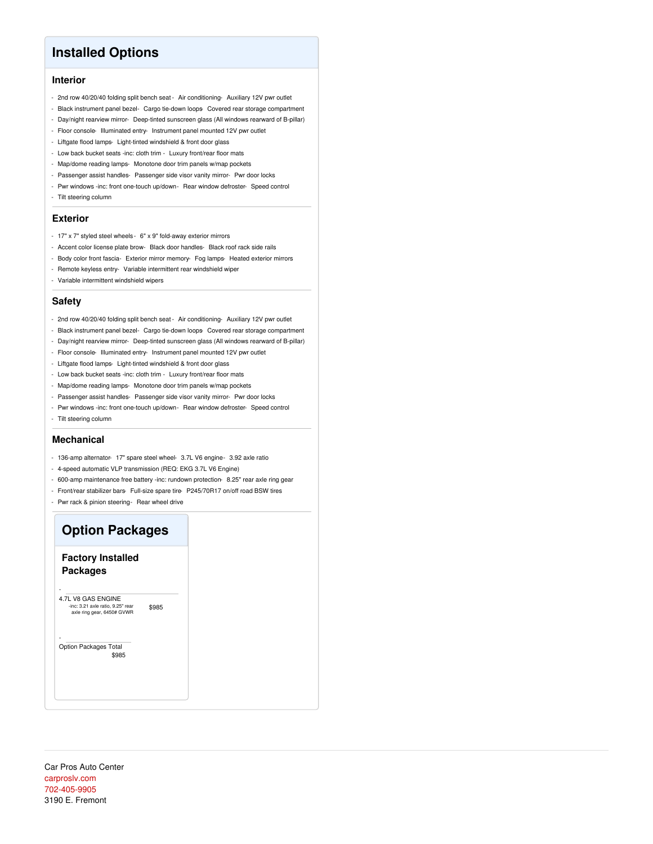## **Installed Options**

#### **Interior**

- 2nd row 40/20/40 folding split bench seat Air conditioning- Auxiliary 12V pwr outlet
- Black instrument panel bezel- Cargo tie-down loops- Covered rear storage compartment
- Day/night rearview mirror- Deep-tinted sunscreen glass (All windows rearward of B-pillar)
- Floor console- Illuminated entry- Instrument panel mounted 12V pwr outlet
- Liftgate flood lamps- Light-tinted windshield & front door glass
- Low back bucket seats -inc: cloth trim Luxury front/rear floor mats
- Map/dome reading lamps- Monotone door trim panels w/map pockets
- Passenger assist handles- Passenger side visor vanity mirror- Pwr door locks
- Pwr windows -inc: front one-touch up/down- Rear window defroster- Speed control
- Tilt steering column

#### **Exterior**

- 17" x 7" styled steel wheels 6" x 9" fold-away exterior mirrors
- Accent color license plate brow- Black door handles- Black roof rack side rails
- Body color front fascia- Exterior mirror memory- Fog lamps- Heated exterior mirrors
- Remote keyless entry- Variable intermittent rear windshield wiper
- Variable intermittent windshield wipers

#### **Safety**

- 2nd row 40/20/40 folding split bench seat Air conditioning- Auxiliary 12V pwr outlet
- Black instrument panel bezel- Cargo tie-down loops Covered rear storage compartment
- Day/night rearview mirror- Deep-tinted sunscreen glass (All windows rearward of B-pillar)
- Floor console- Illuminated entry- Instrument panel mounted 12V pwr outlet
- Liftgate flood lamps- Light-tinted windshield & front door glass
- Low back bucket seats -inc: cloth trim Luxury front/rear floor mats
- Map/dome reading lamps- Monotone door trim panels w/map pockets
- Passenger assist handles- Passenger side visor vanity mirror- Pwr door locks
- Pwr windows -inc: front one-touch up/down- Rear window defroster- Speed control
- Tilt steering column

#### **Mechanical**

- 136-amp alternator- 17" spare steel wheel- 3.7L V6 engine- 3.92 axle ratio
- 4-speed automatic VLP transmission (REQ: EKG 3.7L V6 Engine)
- 600-amp maintenance free battery -inc: rundown protection- 8.25" rear axle ring gear
- Front/rear stabilizer bars- Full-size spare tire- P245/70R17 on/off road BSW tires
- Pwr rack & pinion steering- Rear wheel drive

## **Option Packages**

#### **Factory Installed Packages**

-

-

\$985 4.7L V8 GAS ENGINE -inc: 3.21 axle ratio, 9.25" rear axle ring gear, 6450# GVWR

\$985 Option Packages Total

Car Pros Auto Center [carproslv.com](file:////tmp/carproslv.com) [702-405-9905](tel:702-405-9905) 3190 E. Fremont